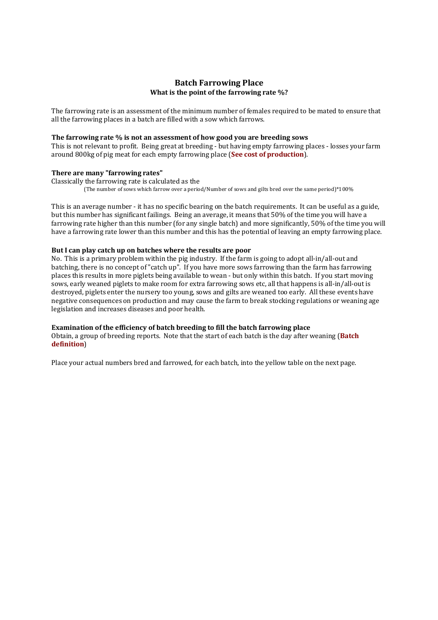# **Batch Farrowing Place What is the point of the farrowing rate %?**

The farrowing rate is an assessment of the minimum number of females required to be mated to ensure that all the farrowing places in a batch are filled with a sow which farrows.

### **The farrowing rate % is not an assessment of how good you are breeding sows**

This is not relevant to profit. Being great at breeding - but having empty farrowing places - losses your farm around 800kg of pig meat for each empty farrowing place (**See cost of production**).

### **There are many "farrowing rates"**

Classically the farrowing rate is calculated as the (The number of sows which farrow over a period/Number of sows and gilts bred over the same period)\*100%

This is an average number - it has no specific bearing on the batch requirements. It can be useful as a guide, but this number has significant failings. Being an average, it means that 50% of the time you will have a farrowing rate higher than this number (for any single batch) and more significantly, 50% of the time you will have a farrowing rate lower than this number and this has the potential of leaving an empty farrowing place.

#### **But I can play catch up on batches where the results are poor**

No. This is a primary problem within the pig industry. If the farm is going to adopt all-in/all-out and batching, there is no concept of "catch up". If you have more sows farrowing than the farm has farrowing places this results in more piglets being available to wean - but only within this batch. If you start moving sows, early weaned piglets to make room for extra farrowing sows etc, all that happens is all-in/all-out is destroyed, piglets enter the nursery too young, sows and gilts are weaned too early. All these events have negative consequences on production and may cause the farm to break stocking regulations or weaning age legislation and increases diseases and poor health.

#### **Examination of the efficiency of batch breeding to fill the batch farrowing place**

Obtain, a group of breeding reports. Note that the start of each batch is the day after weaning (**Batch definition**)

Place your actual numbers bred and farrowed, for each batch, into the yellow table on the next page.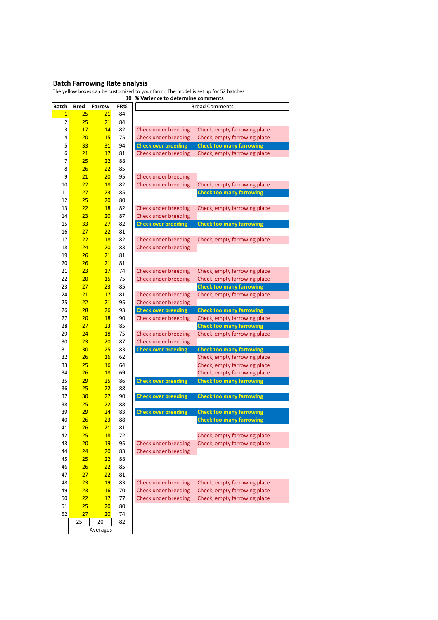# **Batch Farrowing Rate analysis**

Averages

The yellow boxes can be customised to your farm. The model is set up for 52 batches

| Batch<br><b>Bred</b><br>FR%<br>Farrow<br><b>Broad Comments</b><br>25<br>21<br>$\mathbf{1}$<br>84<br>$\overline{\mathbf{c}}$<br>25<br>21<br>84<br>3<br>17<br>14<br>82<br>Check under breeding<br>Check, empty farrowing place<br>4<br>20<br>15<br>75<br>Check under breeding<br>Check, empty farrowing place<br>5<br>33<br>31<br>94<br><b>Check over breeding</b><br><b>Check too many farrowing</b><br>6<br>21<br>17<br>81<br>Check under breeding<br>Check, empty farrowing place<br>$\overline{7}$<br>25<br>22<br>88<br>8<br>26<br>22<br>85<br>9<br>21<br>20 <sub>2</sub><br>95<br>Check under breeding<br>10<br>22<br>18<br>82<br>Check under breeding<br>Check, empty farrowing place<br>27<br>23<br>11<br>85<br><b>Check too many farrowing</b><br>12<br>25<br>20 <sub>2</sub><br>80<br>13<br>22<br>18<br>82<br>Check under breeding<br>Check, empty farrowing place<br>87<br>Check under breeding<br>14<br>23<br>20 <sub>2</sub><br>33<br>27<br>15<br>82<br><b>Check over breeding</b><br><b>Check too many farrowing</b><br>27<br>22<br>16<br>81<br>22<br>17<br>18<br>82<br>Check under breeding<br>Check, empty farrowing place<br>24<br>20<br>18<br>83<br>Check under breeding<br>26<br>21<br>19<br>81<br>26<br>21<br>20<br>81<br>17<br>21<br>23<br>74<br>Check under breeding<br>Check, empty farrowing place<br>22<br>20<br>15 <sub>2</sub><br>75<br>Check under breeding<br>Check, empty farrowing place<br>23<br>85<br>23<br>27<br><b>Check too many farrowing</b><br>21<br>17<br>24<br>81<br>Check under breeding<br>Check, empty farrowing place<br>25<br>22<br>21<br>95<br>Check under breeding<br>28<br>26<br><b>Check over breeding</b><br>26<br>93<br><b>Check too many farrowing</b><br>20<br>27<br><b>18</b><br>90<br>Check, empty farrowing place<br>Check under breeding<br>27<br>23<br>28<br>85<br><b>Check too many farrowing</b><br>24<br>29<br>18<br>75<br>Check under breeding<br>Check, empty farrowing place<br>Check under breeding<br>30<br>23<br>20 <sub>2</sub><br>87<br>25 <sub>2</sub><br><b>Check over breeding</b><br>31<br>30<br>83<br><b>Check too many farrowing</b><br>26<br>16<br>32<br>62<br>Check, empty farrowing place<br>16<br>33<br>25<br>64<br>Check, empty farrowing place<br>34<br>26<br><b>18</b><br>69<br>Check, empty farrowing place<br>35<br>29<br>25<br><b>Check over breeding</b><br>86<br><b>Check too many farrowing</b><br>25<br>22<br>36<br>88<br>30<br>27<br><b>Check over breeding</b><br>37<br>90<br><b>Check too many farrowing</b><br>38<br>25<br>22<br>88<br>29<br><b>Check over breeding</b><br>39<br>24<br><b>Check too many farrowing</b><br>83<br>40<br>26<br>23<br><b>Check too many farrowing</b><br>88<br>26<br>21<br>81<br>41<br>42<br>25<br><b>18</b><br>72<br>Check, empty farrowing place<br>19<br>95<br>Check, empty farrowing place<br>43<br>20<br>Check under breeding<br>44<br>24<br>20 <sub>2</sub><br>83<br>Check under breeding<br>22<br>45<br>25<br>88<br>26<br>22<br>85<br>46<br>27<br>22<br>47<br>81<br>23<br><b>19</b><br>83<br>Check under breeding<br>48<br>Check, empty farrowing place<br>70<br>23<br><b>16</b><br>Check under breeding<br>Check, empty farrowing place<br>49<br>22<br>17<br>77<br>Check under breeding<br>50<br>Check, empty farrowing place<br>25<br>20<br>51<br>80<br>52<br>27<br>20<br>74 |  | 10 | % Varience to determine comments |
|--------------------------------------------------------------------------------------------------------------------------------------------------------------------------------------------------------------------------------------------------------------------------------------------------------------------------------------------------------------------------------------------------------------------------------------------------------------------------------------------------------------------------------------------------------------------------------------------------------------------------------------------------------------------------------------------------------------------------------------------------------------------------------------------------------------------------------------------------------------------------------------------------------------------------------------------------------------------------------------------------------------------------------------------------------------------------------------------------------------------------------------------------------------------------------------------------------------------------------------------------------------------------------------------------------------------------------------------------------------------------------------------------------------------------------------------------------------------------------------------------------------------------------------------------------------------------------------------------------------------------------------------------------------------------------------------------------------------------------------------------------------------------------------------------------------------------------------------------------------------------------------------------------------------------------------------------------------------------------------------------------------------------------------------------------------------------------------------------------------------------------------------------------------------------------------------------------------------------------------------------------------------------------------------------------------------------------------------------------------------------------------------------------------------------------------------------------------------------------------------------------------------------------------------------------------------------------------------------------------------------------------------------------------------------------------------------------------------------------------------------------------------------------------------------------------------------------------------------------------------------------------------------------------------------------------------------------------------------------------------------------------------------------------------------------------------------------------------------------------------------------------------------------------------------------------------------------------------------------------------------------------------------------------------------------------|--|----|----------------------------------|
|                                                                                                                                                                                                                                                                                                                                                                                                                                                                                                                                                                                                                                                                                                                                                                                                                                                                                                                                                                                                                                                                                                                                                                                                                                                                                                                                                                                                                                                                                                                                                                                                                                                                                                                                                                                                                                                                                                                                                                                                                                                                                                                                                                                                                                                                                                                                                                                                                                                                                                                                                                                                                                                                                                                                                                                                                                                                                                                                                                                                                                                                                                                                                                                                                                                                                                              |  |    |                                  |
|                                                                                                                                                                                                                                                                                                                                                                                                                                                                                                                                                                                                                                                                                                                                                                                                                                                                                                                                                                                                                                                                                                                                                                                                                                                                                                                                                                                                                                                                                                                                                                                                                                                                                                                                                                                                                                                                                                                                                                                                                                                                                                                                                                                                                                                                                                                                                                                                                                                                                                                                                                                                                                                                                                                                                                                                                                                                                                                                                                                                                                                                                                                                                                                                                                                                                                              |  |    |                                  |
|                                                                                                                                                                                                                                                                                                                                                                                                                                                                                                                                                                                                                                                                                                                                                                                                                                                                                                                                                                                                                                                                                                                                                                                                                                                                                                                                                                                                                                                                                                                                                                                                                                                                                                                                                                                                                                                                                                                                                                                                                                                                                                                                                                                                                                                                                                                                                                                                                                                                                                                                                                                                                                                                                                                                                                                                                                                                                                                                                                                                                                                                                                                                                                                                                                                                                                              |  |    |                                  |
|                                                                                                                                                                                                                                                                                                                                                                                                                                                                                                                                                                                                                                                                                                                                                                                                                                                                                                                                                                                                                                                                                                                                                                                                                                                                                                                                                                                                                                                                                                                                                                                                                                                                                                                                                                                                                                                                                                                                                                                                                                                                                                                                                                                                                                                                                                                                                                                                                                                                                                                                                                                                                                                                                                                                                                                                                                                                                                                                                                                                                                                                                                                                                                                                                                                                                                              |  |    |                                  |
|                                                                                                                                                                                                                                                                                                                                                                                                                                                                                                                                                                                                                                                                                                                                                                                                                                                                                                                                                                                                                                                                                                                                                                                                                                                                                                                                                                                                                                                                                                                                                                                                                                                                                                                                                                                                                                                                                                                                                                                                                                                                                                                                                                                                                                                                                                                                                                                                                                                                                                                                                                                                                                                                                                                                                                                                                                                                                                                                                                                                                                                                                                                                                                                                                                                                                                              |  |    |                                  |
|                                                                                                                                                                                                                                                                                                                                                                                                                                                                                                                                                                                                                                                                                                                                                                                                                                                                                                                                                                                                                                                                                                                                                                                                                                                                                                                                                                                                                                                                                                                                                                                                                                                                                                                                                                                                                                                                                                                                                                                                                                                                                                                                                                                                                                                                                                                                                                                                                                                                                                                                                                                                                                                                                                                                                                                                                                                                                                                                                                                                                                                                                                                                                                                                                                                                                                              |  |    |                                  |
|                                                                                                                                                                                                                                                                                                                                                                                                                                                                                                                                                                                                                                                                                                                                                                                                                                                                                                                                                                                                                                                                                                                                                                                                                                                                                                                                                                                                                                                                                                                                                                                                                                                                                                                                                                                                                                                                                                                                                                                                                                                                                                                                                                                                                                                                                                                                                                                                                                                                                                                                                                                                                                                                                                                                                                                                                                                                                                                                                                                                                                                                                                                                                                                                                                                                                                              |  |    |                                  |
|                                                                                                                                                                                                                                                                                                                                                                                                                                                                                                                                                                                                                                                                                                                                                                                                                                                                                                                                                                                                                                                                                                                                                                                                                                                                                                                                                                                                                                                                                                                                                                                                                                                                                                                                                                                                                                                                                                                                                                                                                                                                                                                                                                                                                                                                                                                                                                                                                                                                                                                                                                                                                                                                                                                                                                                                                                                                                                                                                                                                                                                                                                                                                                                                                                                                                                              |  |    |                                  |
|                                                                                                                                                                                                                                                                                                                                                                                                                                                                                                                                                                                                                                                                                                                                                                                                                                                                                                                                                                                                                                                                                                                                                                                                                                                                                                                                                                                                                                                                                                                                                                                                                                                                                                                                                                                                                                                                                                                                                                                                                                                                                                                                                                                                                                                                                                                                                                                                                                                                                                                                                                                                                                                                                                                                                                                                                                                                                                                                                                                                                                                                                                                                                                                                                                                                                                              |  |    |                                  |
|                                                                                                                                                                                                                                                                                                                                                                                                                                                                                                                                                                                                                                                                                                                                                                                                                                                                                                                                                                                                                                                                                                                                                                                                                                                                                                                                                                                                                                                                                                                                                                                                                                                                                                                                                                                                                                                                                                                                                                                                                                                                                                                                                                                                                                                                                                                                                                                                                                                                                                                                                                                                                                                                                                                                                                                                                                                                                                                                                                                                                                                                                                                                                                                                                                                                                                              |  |    |                                  |
|                                                                                                                                                                                                                                                                                                                                                                                                                                                                                                                                                                                                                                                                                                                                                                                                                                                                                                                                                                                                                                                                                                                                                                                                                                                                                                                                                                                                                                                                                                                                                                                                                                                                                                                                                                                                                                                                                                                                                                                                                                                                                                                                                                                                                                                                                                                                                                                                                                                                                                                                                                                                                                                                                                                                                                                                                                                                                                                                                                                                                                                                                                                                                                                                                                                                                                              |  |    |                                  |
|                                                                                                                                                                                                                                                                                                                                                                                                                                                                                                                                                                                                                                                                                                                                                                                                                                                                                                                                                                                                                                                                                                                                                                                                                                                                                                                                                                                                                                                                                                                                                                                                                                                                                                                                                                                                                                                                                                                                                                                                                                                                                                                                                                                                                                                                                                                                                                                                                                                                                                                                                                                                                                                                                                                                                                                                                                                                                                                                                                                                                                                                                                                                                                                                                                                                                                              |  |    |                                  |
|                                                                                                                                                                                                                                                                                                                                                                                                                                                                                                                                                                                                                                                                                                                                                                                                                                                                                                                                                                                                                                                                                                                                                                                                                                                                                                                                                                                                                                                                                                                                                                                                                                                                                                                                                                                                                                                                                                                                                                                                                                                                                                                                                                                                                                                                                                                                                                                                                                                                                                                                                                                                                                                                                                                                                                                                                                                                                                                                                                                                                                                                                                                                                                                                                                                                                                              |  |    |                                  |
|                                                                                                                                                                                                                                                                                                                                                                                                                                                                                                                                                                                                                                                                                                                                                                                                                                                                                                                                                                                                                                                                                                                                                                                                                                                                                                                                                                                                                                                                                                                                                                                                                                                                                                                                                                                                                                                                                                                                                                                                                                                                                                                                                                                                                                                                                                                                                                                                                                                                                                                                                                                                                                                                                                                                                                                                                                                                                                                                                                                                                                                                                                                                                                                                                                                                                                              |  |    |                                  |
|                                                                                                                                                                                                                                                                                                                                                                                                                                                                                                                                                                                                                                                                                                                                                                                                                                                                                                                                                                                                                                                                                                                                                                                                                                                                                                                                                                                                                                                                                                                                                                                                                                                                                                                                                                                                                                                                                                                                                                                                                                                                                                                                                                                                                                                                                                                                                                                                                                                                                                                                                                                                                                                                                                                                                                                                                                                                                                                                                                                                                                                                                                                                                                                                                                                                                                              |  |    |                                  |
|                                                                                                                                                                                                                                                                                                                                                                                                                                                                                                                                                                                                                                                                                                                                                                                                                                                                                                                                                                                                                                                                                                                                                                                                                                                                                                                                                                                                                                                                                                                                                                                                                                                                                                                                                                                                                                                                                                                                                                                                                                                                                                                                                                                                                                                                                                                                                                                                                                                                                                                                                                                                                                                                                                                                                                                                                                                                                                                                                                                                                                                                                                                                                                                                                                                                                                              |  |    |                                  |
|                                                                                                                                                                                                                                                                                                                                                                                                                                                                                                                                                                                                                                                                                                                                                                                                                                                                                                                                                                                                                                                                                                                                                                                                                                                                                                                                                                                                                                                                                                                                                                                                                                                                                                                                                                                                                                                                                                                                                                                                                                                                                                                                                                                                                                                                                                                                                                                                                                                                                                                                                                                                                                                                                                                                                                                                                                                                                                                                                                                                                                                                                                                                                                                                                                                                                                              |  |    |                                  |
|                                                                                                                                                                                                                                                                                                                                                                                                                                                                                                                                                                                                                                                                                                                                                                                                                                                                                                                                                                                                                                                                                                                                                                                                                                                                                                                                                                                                                                                                                                                                                                                                                                                                                                                                                                                                                                                                                                                                                                                                                                                                                                                                                                                                                                                                                                                                                                                                                                                                                                                                                                                                                                                                                                                                                                                                                                                                                                                                                                                                                                                                                                                                                                                                                                                                                                              |  |    |                                  |
|                                                                                                                                                                                                                                                                                                                                                                                                                                                                                                                                                                                                                                                                                                                                                                                                                                                                                                                                                                                                                                                                                                                                                                                                                                                                                                                                                                                                                                                                                                                                                                                                                                                                                                                                                                                                                                                                                                                                                                                                                                                                                                                                                                                                                                                                                                                                                                                                                                                                                                                                                                                                                                                                                                                                                                                                                                                                                                                                                                                                                                                                                                                                                                                                                                                                                                              |  |    |                                  |
|                                                                                                                                                                                                                                                                                                                                                                                                                                                                                                                                                                                                                                                                                                                                                                                                                                                                                                                                                                                                                                                                                                                                                                                                                                                                                                                                                                                                                                                                                                                                                                                                                                                                                                                                                                                                                                                                                                                                                                                                                                                                                                                                                                                                                                                                                                                                                                                                                                                                                                                                                                                                                                                                                                                                                                                                                                                                                                                                                                                                                                                                                                                                                                                                                                                                                                              |  |    |                                  |
|                                                                                                                                                                                                                                                                                                                                                                                                                                                                                                                                                                                                                                                                                                                                                                                                                                                                                                                                                                                                                                                                                                                                                                                                                                                                                                                                                                                                                                                                                                                                                                                                                                                                                                                                                                                                                                                                                                                                                                                                                                                                                                                                                                                                                                                                                                                                                                                                                                                                                                                                                                                                                                                                                                                                                                                                                                                                                                                                                                                                                                                                                                                                                                                                                                                                                                              |  |    |                                  |
|                                                                                                                                                                                                                                                                                                                                                                                                                                                                                                                                                                                                                                                                                                                                                                                                                                                                                                                                                                                                                                                                                                                                                                                                                                                                                                                                                                                                                                                                                                                                                                                                                                                                                                                                                                                                                                                                                                                                                                                                                                                                                                                                                                                                                                                                                                                                                                                                                                                                                                                                                                                                                                                                                                                                                                                                                                                                                                                                                                                                                                                                                                                                                                                                                                                                                                              |  |    |                                  |
|                                                                                                                                                                                                                                                                                                                                                                                                                                                                                                                                                                                                                                                                                                                                                                                                                                                                                                                                                                                                                                                                                                                                                                                                                                                                                                                                                                                                                                                                                                                                                                                                                                                                                                                                                                                                                                                                                                                                                                                                                                                                                                                                                                                                                                                                                                                                                                                                                                                                                                                                                                                                                                                                                                                                                                                                                                                                                                                                                                                                                                                                                                                                                                                                                                                                                                              |  |    |                                  |
|                                                                                                                                                                                                                                                                                                                                                                                                                                                                                                                                                                                                                                                                                                                                                                                                                                                                                                                                                                                                                                                                                                                                                                                                                                                                                                                                                                                                                                                                                                                                                                                                                                                                                                                                                                                                                                                                                                                                                                                                                                                                                                                                                                                                                                                                                                                                                                                                                                                                                                                                                                                                                                                                                                                                                                                                                                                                                                                                                                                                                                                                                                                                                                                                                                                                                                              |  |    |                                  |
|                                                                                                                                                                                                                                                                                                                                                                                                                                                                                                                                                                                                                                                                                                                                                                                                                                                                                                                                                                                                                                                                                                                                                                                                                                                                                                                                                                                                                                                                                                                                                                                                                                                                                                                                                                                                                                                                                                                                                                                                                                                                                                                                                                                                                                                                                                                                                                                                                                                                                                                                                                                                                                                                                                                                                                                                                                                                                                                                                                                                                                                                                                                                                                                                                                                                                                              |  |    |                                  |
|                                                                                                                                                                                                                                                                                                                                                                                                                                                                                                                                                                                                                                                                                                                                                                                                                                                                                                                                                                                                                                                                                                                                                                                                                                                                                                                                                                                                                                                                                                                                                                                                                                                                                                                                                                                                                                                                                                                                                                                                                                                                                                                                                                                                                                                                                                                                                                                                                                                                                                                                                                                                                                                                                                                                                                                                                                                                                                                                                                                                                                                                                                                                                                                                                                                                                                              |  |    |                                  |
|                                                                                                                                                                                                                                                                                                                                                                                                                                                                                                                                                                                                                                                                                                                                                                                                                                                                                                                                                                                                                                                                                                                                                                                                                                                                                                                                                                                                                                                                                                                                                                                                                                                                                                                                                                                                                                                                                                                                                                                                                                                                                                                                                                                                                                                                                                                                                                                                                                                                                                                                                                                                                                                                                                                                                                                                                                                                                                                                                                                                                                                                                                                                                                                                                                                                                                              |  |    |                                  |
|                                                                                                                                                                                                                                                                                                                                                                                                                                                                                                                                                                                                                                                                                                                                                                                                                                                                                                                                                                                                                                                                                                                                                                                                                                                                                                                                                                                                                                                                                                                                                                                                                                                                                                                                                                                                                                                                                                                                                                                                                                                                                                                                                                                                                                                                                                                                                                                                                                                                                                                                                                                                                                                                                                                                                                                                                                                                                                                                                                                                                                                                                                                                                                                                                                                                                                              |  |    |                                  |
|                                                                                                                                                                                                                                                                                                                                                                                                                                                                                                                                                                                                                                                                                                                                                                                                                                                                                                                                                                                                                                                                                                                                                                                                                                                                                                                                                                                                                                                                                                                                                                                                                                                                                                                                                                                                                                                                                                                                                                                                                                                                                                                                                                                                                                                                                                                                                                                                                                                                                                                                                                                                                                                                                                                                                                                                                                                                                                                                                                                                                                                                                                                                                                                                                                                                                                              |  |    |                                  |
|                                                                                                                                                                                                                                                                                                                                                                                                                                                                                                                                                                                                                                                                                                                                                                                                                                                                                                                                                                                                                                                                                                                                                                                                                                                                                                                                                                                                                                                                                                                                                                                                                                                                                                                                                                                                                                                                                                                                                                                                                                                                                                                                                                                                                                                                                                                                                                                                                                                                                                                                                                                                                                                                                                                                                                                                                                                                                                                                                                                                                                                                                                                                                                                                                                                                                                              |  |    |                                  |
|                                                                                                                                                                                                                                                                                                                                                                                                                                                                                                                                                                                                                                                                                                                                                                                                                                                                                                                                                                                                                                                                                                                                                                                                                                                                                                                                                                                                                                                                                                                                                                                                                                                                                                                                                                                                                                                                                                                                                                                                                                                                                                                                                                                                                                                                                                                                                                                                                                                                                                                                                                                                                                                                                                                                                                                                                                                                                                                                                                                                                                                                                                                                                                                                                                                                                                              |  |    |                                  |
|                                                                                                                                                                                                                                                                                                                                                                                                                                                                                                                                                                                                                                                                                                                                                                                                                                                                                                                                                                                                                                                                                                                                                                                                                                                                                                                                                                                                                                                                                                                                                                                                                                                                                                                                                                                                                                                                                                                                                                                                                                                                                                                                                                                                                                                                                                                                                                                                                                                                                                                                                                                                                                                                                                                                                                                                                                                                                                                                                                                                                                                                                                                                                                                                                                                                                                              |  |    |                                  |
|                                                                                                                                                                                                                                                                                                                                                                                                                                                                                                                                                                                                                                                                                                                                                                                                                                                                                                                                                                                                                                                                                                                                                                                                                                                                                                                                                                                                                                                                                                                                                                                                                                                                                                                                                                                                                                                                                                                                                                                                                                                                                                                                                                                                                                                                                                                                                                                                                                                                                                                                                                                                                                                                                                                                                                                                                                                                                                                                                                                                                                                                                                                                                                                                                                                                                                              |  |    |                                  |
|                                                                                                                                                                                                                                                                                                                                                                                                                                                                                                                                                                                                                                                                                                                                                                                                                                                                                                                                                                                                                                                                                                                                                                                                                                                                                                                                                                                                                                                                                                                                                                                                                                                                                                                                                                                                                                                                                                                                                                                                                                                                                                                                                                                                                                                                                                                                                                                                                                                                                                                                                                                                                                                                                                                                                                                                                                                                                                                                                                                                                                                                                                                                                                                                                                                                                                              |  |    |                                  |
|                                                                                                                                                                                                                                                                                                                                                                                                                                                                                                                                                                                                                                                                                                                                                                                                                                                                                                                                                                                                                                                                                                                                                                                                                                                                                                                                                                                                                                                                                                                                                                                                                                                                                                                                                                                                                                                                                                                                                                                                                                                                                                                                                                                                                                                                                                                                                                                                                                                                                                                                                                                                                                                                                                                                                                                                                                                                                                                                                                                                                                                                                                                                                                                                                                                                                                              |  |    |                                  |
|                                                                                                                                                                                                                                                                                                                                                                                                                                                                                                                                                                                                                                                                                                                                                                                                                                                                                                                                                                                                                                                                                                                                                                                                                                                                                                                                                                                                                                                                                                                                                                                                                                                                                                                                                                                                                                                                                                                                                                                                                                                                                                                                                                                                                                                                                                                                                                                                                                                                                                                                                                                                                                                                                                                                                                                                                                                                                                                                                                                                                                                                                                                                                                                                                                                                                                              |  |    |                                  |
|                                                                                                                                                                                                                                                                                                                                                                                                                                                                                                                                                                                                                                                                                                                                                                                                                                                                                                                                                                                                                                                                                                                                                                                                                                                                                                                                                                                                                                                                                                                                                                                                                                                                                                                                                                                                                                                                                                                                                                                                                                                                                                                                                                                                                                                                                                                                                                                                                                                                                                                                                                                                                                                                                                                                                                                                                                                                                                                                                                                                                                                                                                                                                                                                                                                                                                              |  |    |                                  |
|                                                                                                                                                                                                                                                                                                                                                                                                                                                                                                                                                                                                                                                                                                                                                                                                                                                                                                                                                                                                                                                                                                                                                                                                                                                                                                                                                                                                                                                                                                                                                                                                                                                                                                                                                                                                                                                                                                                                                                                                                                                                                                                                                                                                                                                                                                                                                                                                                                                                                                                                                                                                                                                                                                                                                                                                                                                                                                                                                                                                                                                                                                                                                                                                                                                                                                              |  |    |                                  |
|                                                                                                                                                                                                                                                                                                                                                                                                                                                                                                                                                                                                                                                                                                                                                                                                                                                                                                                                                                                                                                                                                                                                                                                                                                                                                                                                                                                                                                                                                                                                                                                                                                                                                                                                                                                                                                                                                                                                                                                                                                                                                                                                                                                                                                                                                                                                                                                                                                                                                                                                                                                                                                                                                                                                                                                                                                                                                                                                                                                                                                                                                                                                                                                                                                                                                                              |  |    |                                  |
|                                                                                                                                                                                                                                                                                                                                                                                                                                                                                                                                                                                                                                                                                                                                                                                                                                                                                                                                                                                                                                                                                                                                                                                                                                                                                                                                                                                                                                                                                                                                                                                                                                                                                                                                                                                                                                                                                                                                                                                                                                                                                                                                                                                                                                                                                                                                                                                                                                                                                                                                                                                                                                                                                                                                                                                                                                                                                                                                                                                                                                                                                                                                                                                                                                                                                                              |  |    |                                  |
|                                                                                                                                                                                                                                                                                                                                                                                                                                                                                                                                                                                                                                                                                                                                                                                                                                                                                                                                                                                                                                                                                                                                                                                                                                                                                                                                                                                                                                                                                                                                                                                                                                                                                                                                                                                                                                                                                                                                                                                                                                                                                                                                                                                                                                                                                                                                                                                                                                                                                                                                                                                                                                                                                                                                                                                                                                                                                                                                                                                                                                                                                                                                                                                                                                                                                                              |  |    |                                  |
|                                                                                                                                                                                                                                                                                                                                                                                                                                                                                                                                                                                                                                                                                                                                                                                                                                                                                                                                                                                                                                                                                                                                                                                                                                                                                                                                                                                                                                                                                                                                                                                                                                                                                                                                                                                                                                                                                                                                                                                                                                                                                                                                                                                                                                                                                                                                                                                                                                                                                                                                                                                                                                                                                                                                                                                                                                                                                                                                                                                                                                                                                                                                                                                                                                                                                                              |  |    |                                  |
|                                                                                                                                                                                                                                                                                                                                                                                                                                                                                                                                                                                                                                                                                                                                                                                                                                                                                                                                                                                                                                                                                                                                                                                                                                                                                                                                                                                                                                                                                                                                                                                                                                                                                                                                                                                                                                                                                                                                                                                                                                                                                                                                                                                                                                                                                                                                                                                                                                                                                                                                                                                                                                                                                                                                                                                                                                                                                                                                                                                                                                                                                                                                                                                                                                                                                                              |  |    |                                  |
|                                                                                                                                                                                                                                                                                                                                                                                                                                                                                                                                                                                                                                                                                                                                                                                                                                                                                                                                                                                                                                                                                                                                                                                                                                                                                                                                                                                                                                                                                                                                                                                                                                                                                                                                                                                                                                                                                                                                                                                                                                                                                                                                                                                                                                                                                                                                                                                                                                                                                                                                                                                                                                                                                                                                                                                                                                                                                                                                                                                                                                                                                                                                                                                                                                                                                                              |  |    |                                  |
|                                                                                                                                                                                                                                                                                                                                                                                                                                                                                                                                                                                                                                                                                                                                                                                                                                                                                                                                                                                                                                                                                                                                                                                                                                                                                                                                                                                                                                                                                                                                                                                                                                                                                                                                                                                                                                                                                                                                                                                                                                                                                                                                                                                                                                                                                                                                                                                                                                                                                                                                                                                                                                                                                                                                                                                                                                                                                                                                                                                                                                                                                                                                                                                                                                                                                                              |  |    |                                  |
|                                                                                                                                                                                                                                                                                                                                                                                                                                                                                                                                                                                                                                                                                                                                                                                                                                                                                                                                                                                                                                                                                                                                                                                                                                                                                                                                                                                                                                                                                                                                                                                                                                                                                                                                                                                                                                                                                                                                                                                                                                                                                                                                                                                                                                                                                                                                                                                                                                                                                                                                                                                                                                                                                                                                                                                                                                                                                                                                                                                                                                                                                                                                                                                                                                                                                                              |  |    |                                  |
|                                                                                                                                                                                                                                                                                                                                                                                                                                                                                                                                                                                                                                                                                                                                                                                                                                                                                                                                                                                                                                                                                                                                                                                                                                                                                                                                                                                                                                                                                                                                                                                                                                                                                                                                                                                                                                                                                                                                                                                                                                                                                                                                                                                                                                                                                                                                                                                                                                                                                                                                                                                                                                                                                                                                                                                                                                                                                                                                                                                                                                                                                                                                                                                                                                                                                                              |  |    |                                  |
|                                                                                                                                                                                                                                                                                                                                                                                                                                                                                                                                                                                                                                                                                                                                                                                                                                                                                                                                                                                                                                                                                                                                                                                                                                                                                                                                                                                                                                                                                                                                                                                                                                                                                                                                                                                                                                                                                                                                                                                                                                                                                                                                                                                                                                                                                                                                                                                                                                                                                                                                                                                                                                                                                                                                                                                                                                                                                                                                                                                                                                                                                                                                                                                                                                                                                                              |  |    |                                  |
|                                                                                                                                                                                                                                                                                                                                                                                                                                                                                                                                                                                                                                                                                                                                                                                                                                                                                                                                                                                                                                                                                                                                                                                                                                                                                                                                                                                                                                                                                                                                                                                                                                                                                                                                                                                                                                                                                                                                                                                                                                                                                                                                                                                                                                                                                                                                                                                                                                                                                                                                                                                                                                                                                                                                                                                                                                                                                                                                                                                                                                                                                                                                                                                                                                                                                                              |  |    |                                  |
|                                                                                                                                                                                                                                                                                                                                                                                                                                                                                                                                                                                                                                                                                                                                                                                                                                                                                                                                                                                                                                                                                                                                                                                                                                                                                                                                                                                                                                                                                                                                                                                                                                                                                                                                                                                                                                                                                                                                                                                                                                                                                                                                                                                                                                                                                                                                                                                                                                                                                                                                                                                                                                                                                                                                                                                                                                                                                                                                                                                                                                                                                                                                                                                                                                                                                                              |  |    |                                  |
|                                                                                                                                                                                                                                                                                                                                                                                                                                                                                                                                                                                                                                                                                                                                                                                                                                                                                                                                                                                                                                                                                                                                                                                                                                                                                                                                                                                                                                                                                                                                                                                                                                                                                                                                                                                                                                                                                                                                                                                                                                                                                                                                                                                                                                                                                                                                                                                                                                                                                                                                                                                                                                                                                                                                                                                                                                                                                                                                                                                                                                                                                                                                                                                                                                                                                                              |  |    |                                  |
| 25<br>20<br>82                                                                                                                                                                                                                                                                                                                                                                                                                                                                                                                                                                                                                                                                                                                                                                                                                                                                                                                                                                                                                                                                                                                                                                                                                                                                                                                                                                                                                                                                                                                                                                                                                                                                                                                                                                                                                                                                                                                                                                                                                                                                                                                                                                                                                                                                                                                                                                                                                                                                                                                                                                                                                                                                                                                                                                                                                                                                                                                                                                                                                                                                                                                                                                                                                                                                                               |  |    |                                  |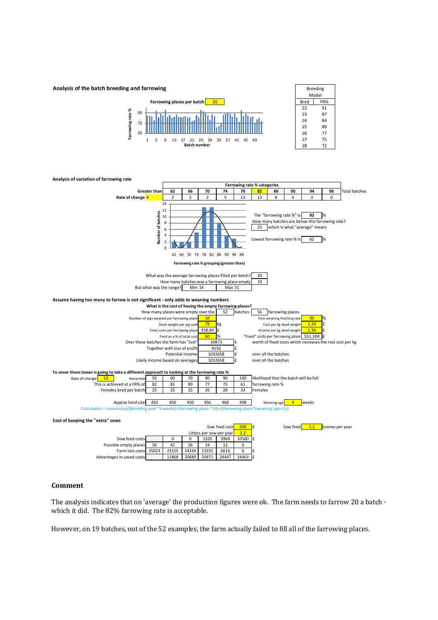



### **Comment**

The analysis indicates that on 'average' the production figures were ok. The farm needs to farrow 20 a batch which it did. The 82% farrowing rate is acceptable.

However, on 19 batches, out of the 52 examples, the farm actually failed to fill all of the farrowing places.